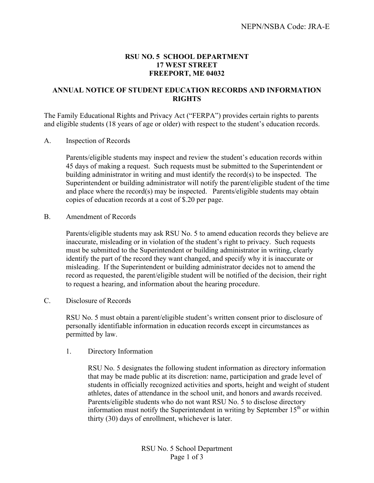## **RSU NO. 5 SCHOOL DEPARTMENT 17 WEST STREET FREEPORT, ME 04032**

## **ANNUAL NOTICE OF STUDENT EDUCATION RECORDS AND INFORMATION RIGHTS**

The Family Educational Rights and Privacy Act ("FERPA") provides certain rights to parents and eligible students (18 years of age or older) with respect to the student's education records.

## A. Inspection of Records

Parents/eligible students may inspect and review the student's education records within 45 days of making a request. Such requests must be submitted to the Superintendent or building administrator in writing and must identify the record(s) to be inspected. The Superintendent or building administrator will notify the parent/eligible student of the time and place where the record(s) may be inspected. Parents/eligible students may obtain copies of education records at a cost of \$.20 per page.

B. Amendment of Records

Parents/eligible students may ask RSU No. 5 to amend education records they believe are inaccurate, misleading or in violation of the student's right to privacy. Such requests must be submitted to the Superintendent or building administrator in writing, clearly identify the part of the record they want changed, and specify why it is inaccurate or misleading. If the Superintendent or building administrator decides not to amend the record as requested, the parent/eligible student will be notified of the decision, their right to request a hearing, and information about the hearing procedure.

C. Disclosure of Records

RSU No. 5 must obtain a parent/eligible student's written consent prior to disclosure of personally identifiable information in education records except in circumstances as permitted by law.

1. Directory Information

RSU No. 5 designates the following student information as directory information that may be made public at its discretion: name, participation and grade level of students in officially recognized activities and sports, height and weight of student athletes, dates of attendance in the school unit, and honors and awards received. Parents/eligible students who do not want RSU No. 5 to disclose directory information must notify the Superintendent in writing by September  $15<sup>th</sup>$  or within thirty (30) days of enrollment, whichever is later.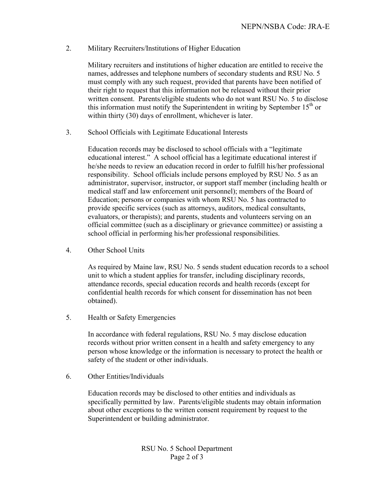## 2. Military Recruiters/Institutions of Higher Education

Military recruiters and institutions of higher education are entitled to receive the names, addresses and telephone numbers of secondary students and RSU No. 5 must comply with any such request, provided that parents have been notified of their right to request that this information not be released without their prior written consent. Parents/eligible students who do not want RSU No. 5 to disclose this information must notify the Superintendent in writing by September  $15<sup>th</sup>$  or within thirty (30) days of enrollment, whichever is later.

3. School Officials with Legitimate Educational Interests

Education records may be disclosed to school officials with a "legitimate educational interest." A school official has a legitimate educational interest if he/she needs to review an education record in order to fulfill his/her professional responsibility. School officials include persons employed by RSU No. 5 as an administrator, supervisor, instructor, or support staff member (including health or medical staff and law enforcement unit personnel); members of the Board of Education; persons or companies with whom RSU No. 5 has contracted to provide specific services (such as attorneys, auditors, medical consultants, evaluators, or therapists); and parents, students and volunteers serving on an official committee (such as a disciplinary or grievance committee) or assisting a school official in performing his/her professional responsibilities.

4. Other School Units

As required by Maine law, RSU No. 5 sends student education records to a school unit to which a student applies for transfer, including disciplinary records, attendance records, special education records and health records (except for confidential health records for which consent for dissemination has not been obtained).

5. Health or Safety Emergencies

In accordance with federal regulations, RSU No. 5 may disclose education records without prior written consent in a health and safety emergency to any person whose knowledge or the information is necessary to protect the health or safety of the student or other individuals.

6. Other Entities/Individuals

Education records may be disclosed to other entities and individuals as specifically permitted by law. Parents/eligible students may obtain information about other exceptions to the written consent requirement by request to the Superintendent or building administrator.